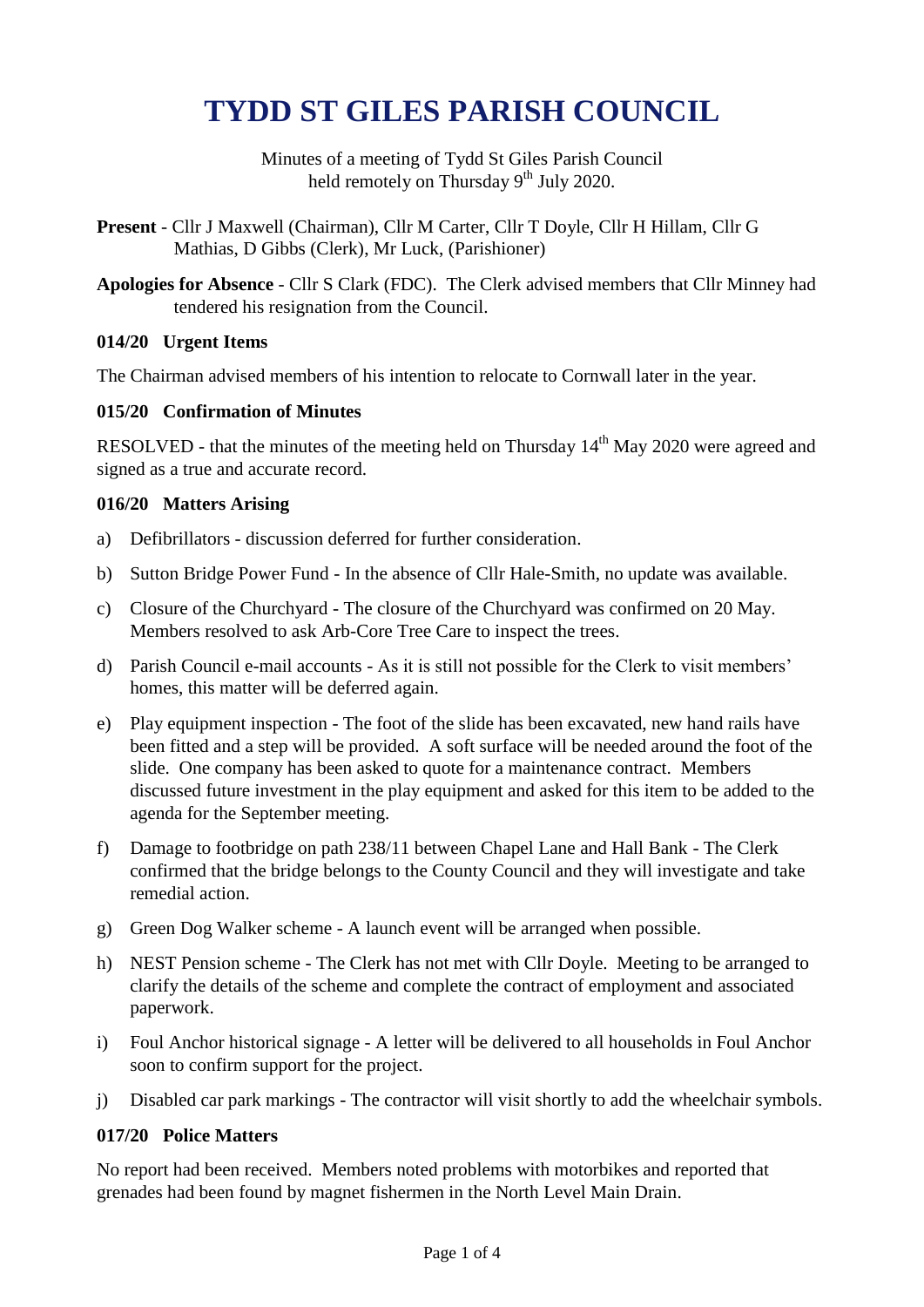# **TYDD ST GILES PARISH COUNCIL**

Minutes of a meeting of Tydd St Giles Parish Council held remotely on Thursday 9<sup>th</sup> July 2020.

- **Present** Cllr J Maxwell (Chairman), Cllr M Carter, Cllr T Doyle, Cllr H Hillam, Cllr G Mathias, D Gibbs (Clerk), Mr Luck, (Parishioner)
- **Apologies for Absence** Cllr S Clark (FDC). The Clerk advised members that Cllr Minney had tendered his resignation from the Council.

# **014/20 Urgent Items**

The Chairman advised members of his intention to relocate to Cornwall later in the year.

# **015/20 Confirmation of Minutes**

RESOLVED - that the minutes of the meeting held on Thursday 14<sup>th</sup> May 2020 were agreed and signed as a true and accurate record.

# **016/20 Matters Arising**

- a) Defibrillators discussion deferred for further consideration.
- b) Sutton Bridge Power Fund In the absence of Cllr Hale-Smith, no update was available.
- c) Closure of the Churchyard The closure of the Churchyard was confirmed on 20 May. Members resolved to ask Arb-Core Tree Care to inspect the trees.
- d) Parish Council e-mail accounts As it is still not possible for the Clerk to visit members' homes, this matter will be deferred again.
- e) Play equipment inspection The foot of the slide has been excavated, new hand rails have been fitted and a step will be provided. A soft surface will be needed around the foot of the slide. One company has been asked to quote for a maintenance contract. Members discussed future investment in the play equipment and asked for this item to be added to the agenda for the September meeting.
- f) Damage to footbridge on path 238/11 between Chapel Lane and Hall Bank The Clerk confirmed that the bridge belongs to the County Council and they will investigate and take remedial action.
- g) Green Dog Walker scheme A launch event will be arranged when possible.
- h) NEST Pension scheme The Clerk has not met with Cllr Doyle. Meeting to be arranged to clarify the details of the scheme and complete the contract of employment and associated paperwork.
- i) Foul Anchor historical signage A letter will be delivered to all households in Foul Anchor soon to confirm support for the project.
- j) Disabled car park markings The contractor will visit shortly to add the wheelchair symbols.

# **017/20 Police Matters**

No report had been received. Members noted problems with motorbikes and reported that grenades had been found by magnet fishermen in the North Level Main Drain.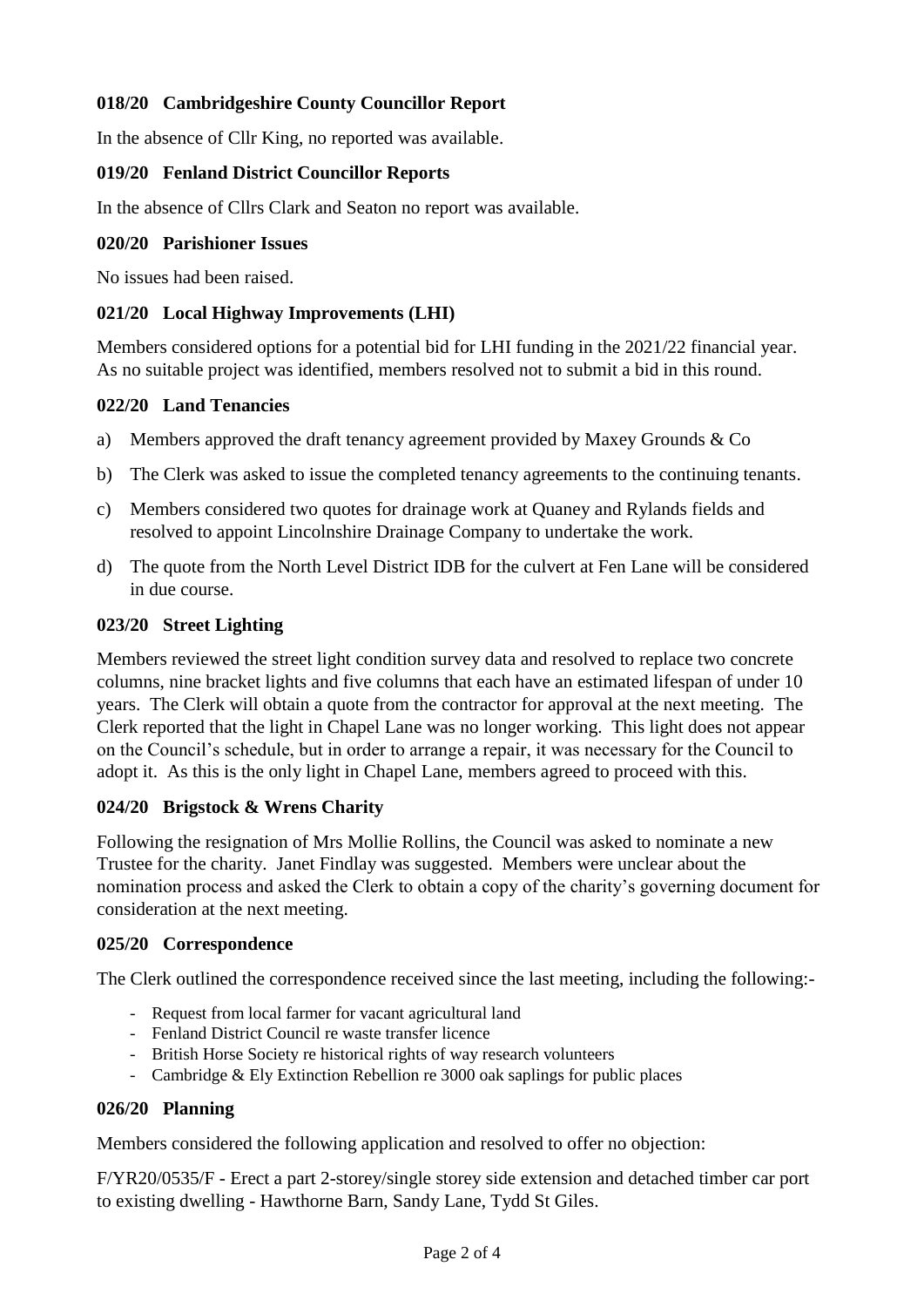# **018/20 Cambridgeshire County Councillor Report**

In the absence of Cllr King, no reported was available.

#### **019/20 Fenland District Councillor Reports**

In the absence of Cllrs Clark and Seaton no report was available.

#### **020/20 Parishioner Issues**

No issues had been raised.

### **021/20 Local Highway Improvements (LHI)**

Members considered options for a potential bid for LHI funding in the 2021/22 financial year. As no suitable project was identified, members resolved not to submit a bid in this round.

#### **022/20 Land Tenancies**

- a) Members approved the draft tenancy agreement provided by Maxey Grounds & Co
- b) The Clerk was asked to issue the completed tenancy agreements to the continuing tenants.
- c) Members considered two quotes for drainage work at Quaney and Rylands fields and resolved to appoint Lincolnshire Drainage Company to undertake the work.
- d) The quote from the North Level District IDB for the culvert at Fen Lane will be considered in due course.

#### **023/20 Street Lighting**

Members reviewed the street light condition survey data and resolved to replace two concrete columns, nine bracket lights and five columns that each have an estimated lifespan of under 10 years. The Clerk will obtain a quote from the contractor for approval at the next meeting. The Clerk reported that the light in Chapel Lane was no longer working. This light does not appear on the Council's schedule, but in order to arrange a repair, it was necessary for the Council to adopt it. As this is the only light in Chapel Lane, members agreed to proceed with this.

## **024/20 Brigstock & Wrens Charity**

Following the resignation of Mrs Mollie Rollins, the Council was asked to nominate a new Trustee for the charity. Janet Findlay was suggested. Members were unclear about the nomination process and asked the Clerk to obtain a copy of the charity's governing document for consideration at the next meeting.

#### **025/20 Correspondence**

The Clerk outlined the correspondence received since the last meeting, including the following:-

- Request from local farmer for vacant agricultural land
- Fenland District Council re waste transfer licence
- British Horse Society re historical rights of way research volunteers
- Cambridge & Ely Extinction Rebellion re 3000 oak saplings for public places

#### **026/20 Planning**

Members considered the following application and resolved to offer no objection:

F/YR20/0535/F - Erect a part 2-storey/single storey side extension and detached timber car port to existing dwelling - Hawthorne Barn, Sandy Lane, Tydd St Giles.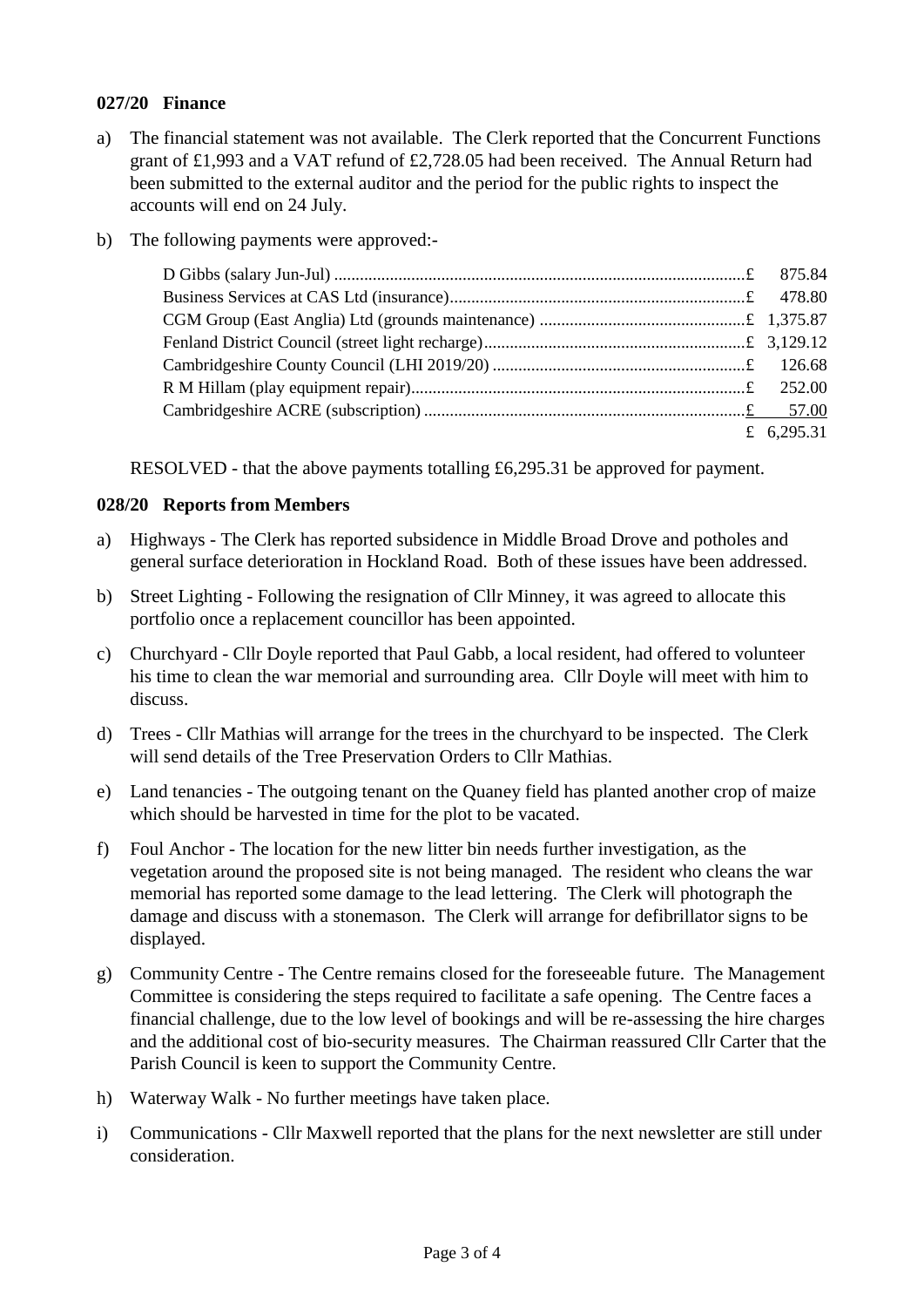#### **027/20 Finance**

- a) The financial statement was not available. The Clerk reported that the Concurrent Functions grant of £1,993 and a VAT refund of £2,728.05 had been received. The Annual Return had been submitted to the external auditor and the period for the public rights to inspect the accounts will end on 24 July.
- b) The following payments were approved:-

| £ 6,295.31 |
|------------|

RESOLVED - that the above payments totalling £6,295.31 be approved for payment.

#### **028/20 Reports from Members**

- a) Highways The Clerk has reported subsidence in Middle Broad Drove and potholes and general surface deterioration in Hockland Road. Both of these issues have been addressed.
- b) Street Lighting Following the resignation of Cllr Minney, it was agreed to allocate this portfolio once a replacement councillor has been appointed.
- c) Churchyard Cllr Doyle reported that Paul Gabb, a local resident, had offered to volunteer his time to clean the war memorial and surrounding area. Cllr Doyle will meet with him to discuss.
- d) Trees Cllr Mathias will arrange for the trees in the churchyard to be inspected. The Clerk will send details of the Tree Preservation Orders to Cllr Mathias.
- e) Land tenancies The outgoing tenant on the Quaney field has planted another crop of maize which should be harvested in time for the plot to be vacated.
- f) Foul Anchor The location for the new litter bin needs further investigation, as the vegetation around the proposed site is not being managed. The resident who cleans the war memorial has reported some damage to the lead lettering. The Clerk will photograph the damage and discuss with a stonemason. The Clerk will arrange for defibrillator signs to be displayed.
- g) Community Centre The Centre remains closed for the foreseeable future. The Management Committee is considering the steps required to facilitate a safe opening. The Centre faces a financial challenge, due to the low level of bookings and will be re-assessing the hire charges and the additional cost of bio-security measures. The Chairman reassured Cllr Carter that the Parish Council is keen to support the Community Centre.
- h) Waterway Walk No further meetings have taken place.
- i) Communications Cllr Maxwell reported that the plans for the next newsletter are still under consideration.